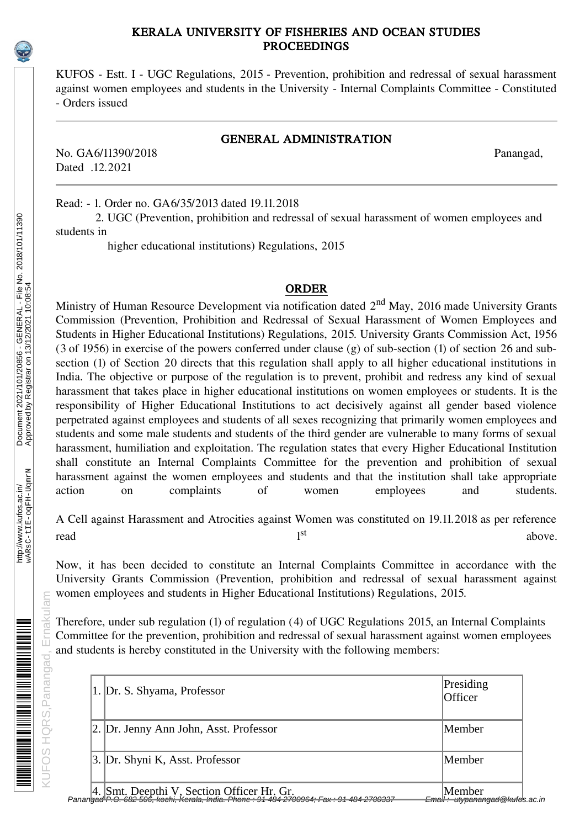## KERALA UNIVERSITY OF FISHERIES AND OCEAN STUDIES PROCEEDINGS

KUFOS - Estt. I - UGC Regulations, 2015 - Prevention, prohibition and redressal of sexual harassment against women employees and students in the University - Internal Complaints Committee - Constituted - Orders issued

## GENERAL ADMINISTRATION

No. GA6/11390/2018 Panangad, Dated .12.2021

Read: - 1. Order no. GA6/35/2013 dated 19.11.2018

 2. UGC (Prevention, prohibition and redressal of sexual harassment of women employees and students in

higher educational institutions) Regulations, 2015

## ORDER

Ministry of Human Resource Development via notification dated 2<sup>nd</sup> May, 2016 made University Grants Commission (Prevention, Prohibition and Redressal of Sexual Harassment of Women Employees and Students in Higher Educational Institutions) Regulations, 2015. University Grants Commission Act, 1956 (3 of 1956) in exercise of the powers conferred under clause (g) of sub-section (1) of section 26 and subsection (1) of Section 20 directs that this regulation shall apply to all higher educational institutions in India. The objective or purpose of the regulation is to prevent, prohibit and redress any kind of sexual harassment that takes place in higher educational institutions on women employees or students. It is the responsibility of Higher Educational Institutions to act decisively against all gender based violence perpetrated against employees and students of all sexes recognizing that primarily women employees and students and some male students and students of the third gender are vulnerable to many forms of sexual harassment, humiliation and exploitation. The regulation states that every Higher Educational Institution shall constitute an Internal Complaints Committee for the prevention and prohibition of sexual harassment against the women employees and students and that the institution shall take appropriate<br>action on complaints of women employees and students. action on complaints of women employees and students.

A Cell against Harassment and Atrocities against Women was constituted on 19.11.2018 as per reference read  $1<sup>st</sup>$  above.

Now, it has been decided to constitute an Internal Complaints Committee in accordance with the University Grants Commission (Prevention, prohibition and redressal of sexual harassment against women employees and students in Higher Educational Institutions) Regulations, 2015.

Therefore, under sub regulation (1) of regulation (4) of UGC Regulations 2015, an Internal Complaints Committee for the prevention, prohibition and redressal of sexual harassment against women employees and students is hereby constituted in the University with the following members:

|  | 1. Dr. S. Shyama, Professor                                                                                                             | Presiding<br>Officer                                   |  |
|--|-----------------------------------------------------------------------------------------------------------------------------------------|--------------------------------------------------------|--|
|  | 2. Dr. Jenny Ann John, Asst. Professor                                                                                                  | Member                                                 |  |
|  | 3. Dr. Shyni K, Asst. Professor                                                                                                         | Member                                                 |  |
|  | 4. Smt. Deepthi V, Section Officer Hr. Gr.<br>Panangad P.O. 682 506, kochi, Kerala, India. Phone : 91 484 2700964; Fax : 91 484 2700337 | Member<br><del>Emall :- utypanangad@kufo</del> s.ac.in |  |